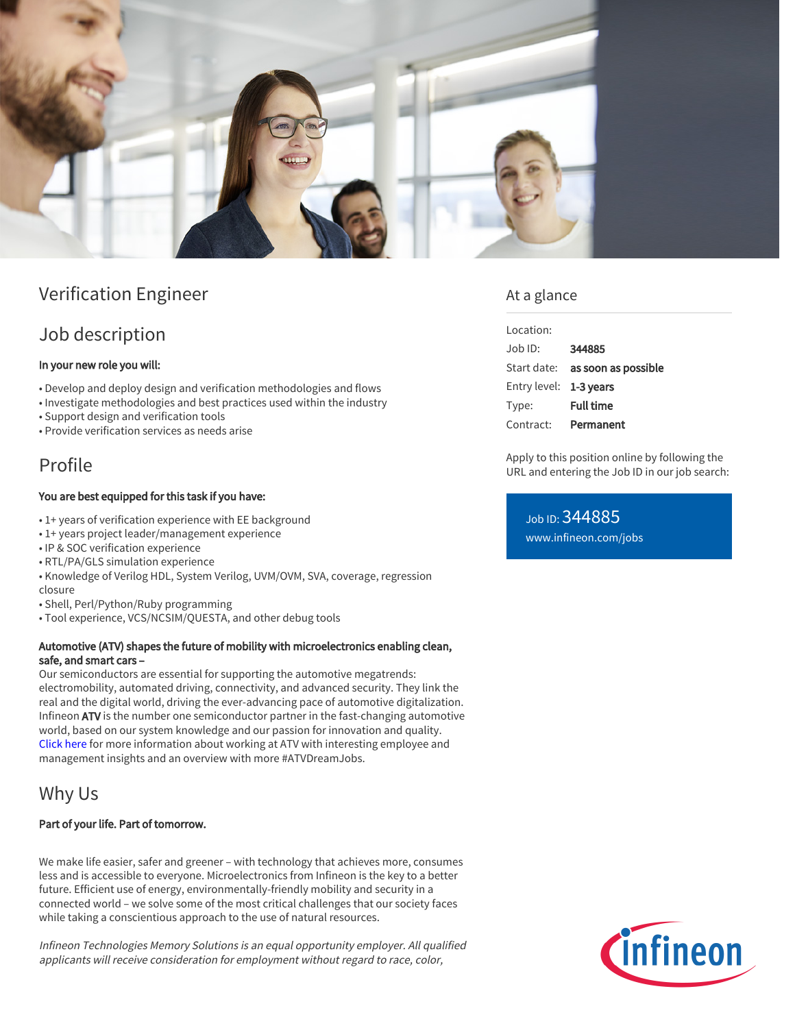

## Verification Engineer

## Job description

#### In your new role you will:

- Develop and deploy design and verification methodologies and flows
- Investigate methodologies and best practices used within the industry
- Support design and verification tools
- Provide verification services as needs arise

# Profile

#### You are best equipped for this task if you have:

- 1+ years of verification experience with EE background
- 1+ years project leader/management experience
- IP & SOC verification experience
- RTL/PA/GLS simulation experience
- Knowledge of Verilog HDL, System Verilog, UVM/OVM, SVA, coverage, regression closure
- Shell, Perl/Python/Ruby programming
- Tool experience, VCS/NCSIM/QUESTA, and other debug tools

#### Automotive (ATV) shapes the future of mobility with microelectronics enabling clean, safe, and smart cars –

Our semiconductors are essential for supporting the automotive megatrends: electromobility, automated driving, connectivity, and advanced security. They link the real and the digital world, driving the ever-advancing pace of automotive digitalization. Infineon ATV is the number one semiconductor partner in the fast-changing automotive world, based on our system knowledge and our passion for innovation and quality. [Click here](https://www.infineon.com/cms/en/careers/working-at-infineon/atvdreamjob/) for more information about working at ATV with interesting employee and management insights and an overview with more #ATVDreamJobs.

## Why Us

#### Part of your life. Part of tomorrow.

We make life easier, safer and greener – with technology that achieves more, consumes less and is accessible to everyone. Microelectronics from Infineon is the key to a better future. Efficient use of energy, environmentally-friendly mobility and security in a connected world – we solve some of the most critical challenges that our society faces while taking a conscientious approach to the use of natural resources.

Infineon Technologies Memory Solutions is an equal opportunity employer. All qualified applicants will receive consideration for employment without regard to race, color,

### At a glance

| Location:              |                                 |
|------------------------|---------------------------------|
| $.$ lob $1D$ :         | 344885                          |
|                        | Start date: as soon as possible |
| Entry level: 1-3 years |                                 |
| Type:                  | <b>Full time</b>                |
| Contract:              | Permanent                       |
|                        |                                 |

Apply to this position online by following the URL and entering the Job ID in our job search:

Job ID: 344885 [www.infineon.com/jobs](https://www.infineon.com/jobs)